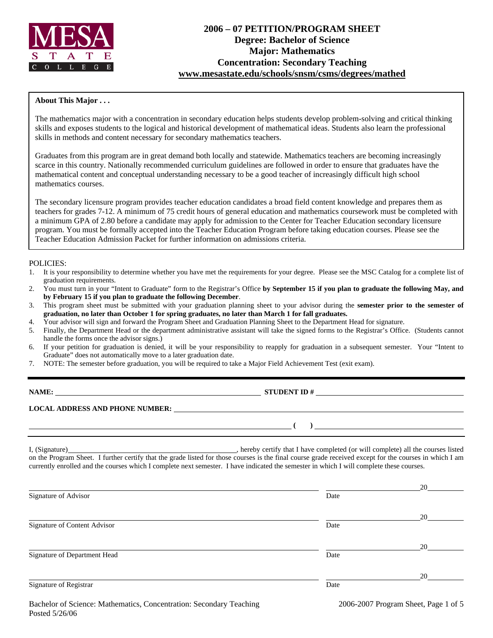

# **2006 – 07 PETITION/PROGRAM SHEET Degree: Bachelor of Science Major: Mathematics Concentration: Secondary Teaching www.mesastate.edu/schools/snsm/csms/degrees/mathed**

### **About This Major . . .**

The mathematics major with a concentration in secondary education helps students develop problem-solving and critical thinking skills and exposes students to the logical and historical development of mathematical ideas. Students also learn the professional skills in methods and content necessary for secondary mathematics teachers.

Graduates from this program are in great demand both locally and statewide. Mathematics teachers are becoming increasingly scarce in this country. Nationally recommended curriculum guidelines are followed in order to ensure that graduates have the mathematical content and conceptual understanding necessary to be a good teacher of increasingly difficult high school mathematics courses.

The secondary licensure program provides teacher education candidates a broad field content knowledge and prepares them as teachers for grades 7-12. A minimum of 75 credit hours of general education and mathematics coursework must be completed with a minimum GPA of 2.80 before a candidate may apply for admission to the Center for Teacher Education secondary licensure program. You must be formally accepted into the Teacher Education Program before taking education courses. Please see the Teacher Education Admission Packet for further information on admissions criteria.

### POLICIES:

- 1. It is your responsibility to determine whether you have met the requirements for your degree. Please see the MSC Catalog for a complete list of graduation requirements.
- 2. You must turn in your "Intent to Graduate" form to the Registrar's Office **by September 15 if you plan to graduate the following May, and by February 15 if you plan to graduate the following December**.
- 3. This program sheet must be submitted with your graduation planning sheet to your advisor during the **semester prior to the semester of graduation, no later than October 1 for spring graduates, no later than March 1 for fall graduates.**
- 4. Your advisor will sign and forward the Program Sheet and Graduation Planning Sheet to the Department Head for signature.
- 5. Finally, the Department Head or the department administrative assistant will take the signed forms to the Registrar's Office. (Students cannot handle the forms once the advisor signs.)
- 6. If your petition for graduation is denied, it will be your responsibility to reapply for graduation in a subsequent semester. Your "Intent to Graduate" does not automatically move to a later graduation date.
- 7. NOTE: The semester before graduation, you will be required to take a Major Field Achievement Test (exit exam).

**STUDENT ID #** 

# **LOCAL ADDRESS AND PHONE NUMBER:**

I, (Signature) , hereby certify that I have completed (or will complete) all the courses listed on the Program Sheet. I further certify that the grade listed for those courses is the final course grade received except for the courses in which I am currently enrolled and the courses which I complete next semester. I have indicated the semester in which I will complete these courses.

|                              |      | 20 |
|------------------------------|------|----|
| Signature of Advisor         | Date |    |
|                              |      | 20 |
| Signature of Content Advisor | Date |    |
|                              |      | 20 |
| Signature of Department Head | Date |    |
|                              |      | 20 |
| Signature of Registrar       | Date |    |
|                              |      |    |

 **( )**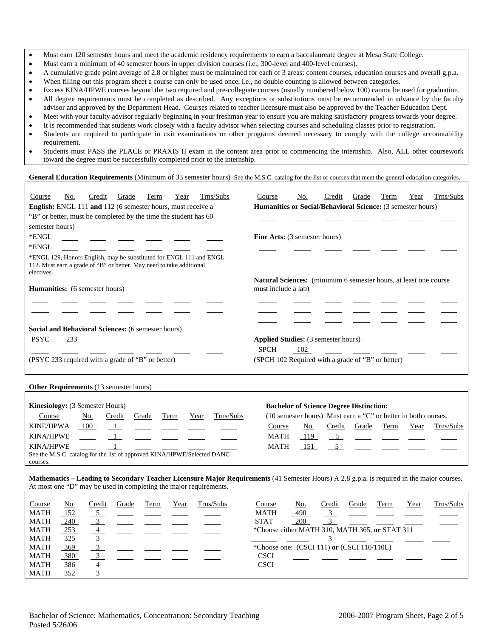- Must earn 120 semester hours and meet the academic residency requirements to earn a baccalaureate degree at Mesa State College.
- Must earn a minimum of 40 semester hours in upper division courses (i.e., 300-level and 400-level courses).
- A cumulative grade point average of 2.8 or higher must be maintained for each of 3 areas: content courses, education courses and overall g.p.a.
- When filling out this program sheet a course can only be used once, i.e., no double counting is allowed between categories.
- Excess KINA/HPWE courses beyond the two required and pre-collegiate courses (usually numbered below 100) cannot be used for graduation.
- All degree requirements must be completed as described. Any exceptions or substitutions must be recommended in advance by the faculty advisor and approved by the Department Head. Courses related to teacher licensure must also be approved by the Teacher Education Dept.
- Meet with your faculty advisor regularly beginning in your freshman year to ensure you are making satisfactory progress towards your degree.
- It is recommended that students work closely with a faculty advisor when selecting courses and scheduling classes prior to registration.
- Students are required to participate in exit examinations or other programs deemed necessary to comply with the college accountability requirement.
- Students must PASS the PLACE or PRAXIS II exam in the content area prior to commencing the internship. Also, ALL other coursework toward the degree must be successfully completed prior to the internship.

#### General Education Requirements (Minimum of 33 semester hours) See the M.S.C. catalog for the list of courses that meet the general education categories.

| Trns/Subs<br>No.<br>Grade<br>Term<br>Credit<br>Year<br>Course                                                                                             | Trns/Subs<br>No.<br>Grade<br>Term<br>Year<br>Course<br>Credit                                  |  |  |  |  |  |  |  |
|-----------------------------------------------------------------------------------------------------------------------------------------------------------|------------------------------------------------------------------------------------------------|--|--|--|--|--|--|--|
| <b>English:</b> ENGL 111 and 112 (6 semester hours, must receive a                                                                                        | <b>Humanities or Social/Behavioral Science:</b> (3 semester hours)                             |  |  |  |  |  |  |  |
| "B" or better, must be completed by the time the student has 60                                                                                           |                                                                                                |  |  |  |  |  |  |  |
| semester hours)                                                                                                                                           |                                                                                                |  |  |  |  |  |  |  |
| *ENGL                                                                                                                                                     | <b>Fine Arts:</b> (3 semester hours)                                                           |  |  |  |  |  |  |  |
| *ENGL                                                                                                                                                     |                                                                                                |  |  |  |  |  |  |  |
| *ENGL 129, Honors English, may be substituted for ENGL 111 and ENGL<br>112. Must earn a grade of "B" or better. May need to take additional<br>electives. |                                                                                                |  |  |  |  |  |  |  |
| <b>Humanities:</b> (6 semester hours)                                                                                                                     | <b>Natural Sciences:</b> (minimum 6 semester hours, at least one course<br>must include a lab) |  |  |  |  |  |  |  |
|                                                                                                                                                           |                                                                                                |  |  |  |  |  |  |  |
| Social and Behavioral Sciences: (6 semester hours)                                                                                                        |                                                                                                |  |  |  |  |  |  |  |
| <b>PSYC</b><br>233                                                                                                                                        | <b>Applied Studies:</b> (3 semester hours)                                                     |  |  |  |  |  |  |  |
|                                                                                                                                                           | <b>SPCH</b><br>102                                                                             |  |  |  |  |  |  |  |
| (PSYC 233 required with a grade of "B" or better)                                                                                                         | (SPCH 102 Required with a grade of "B" or better)                                              |  |  |  |  |  |  |  |

#### **Other Requirements** (13 semester hours)

| <b>Kinesiology:</b> (3 Semester Hours)                                  |     |                                                                                                                     |       |      |      |           |                                                                | <b>Bachelor of Science Degree Distinction:</b> |                                                         |       |      |      |                                                         |
|-------------------------------------------------------------------------|-----|---------------------------------------------------------------------------------------------------------------------|-------|------|------|-----------|----------------------------------------------------------------|------------------------------------------------|---------------------------------------------------------|-------|------|------|---------------------------------------------------------|
| Course                                                                  | No. | Credit                                                                                                              | Grade | Term | Year | Trns/Subs | (10 semester hours) Must earn a "C" or better in both courses. |                                                |                                                         |       |      |      |                                                         |
| KINE/HPWA                                                               | 100 | the contract of the contract of the contract of the contract of the contract of the contract of the contract of     |       |      |      |           | Course                                                         | No.                                            | Credit                                                  | Grade | Term | Year | Trns/Subs                                               |
| <b>KINA/HPWE</b>                                                        |     | and the contract of the contract of the contract of the contract of the contract of the contract of the contract of |       |      |      |           | <b>MATH</b>                                                    | 119                                            |                                                         |       |      |      | $\frac{5}{2}$ $\frac{1}{2}$ $\frac{1}{2}$ $\frac{1}{2}$ |
| <b>KINA/HPWE</b>                                                        |     |                                                                                                                     |       |      |      |           | <b>MATH</b>                                                    | 151                                            | $\frac{5}{2}$ $\frac{1}{2}$ $\frac{1}{2}$ $\frac{1}{2}$ |       |      |      |                                                         |
| See the M.S.C. catalog for the list of approved KINA/HPWE/Selected DANC |     |                                                                                                                     |       |      |      |           |                                                                |                                                |                                                         |       |      |      |                                                         |
| courses.                                                                |     |                                                                                                                     |       |      |      |           |                                                                |                                                |                                                         |       |      |      |                                                         |

**Mathematics – Leading to Secondary Teacher Licensure Major Requirements** (41 Semester Hours) A 2.8 g.p.a. is required in the major courses. At most one "D" may be used in completing the major requirements.

| Course      | No. | Credit | Grade | Term | Year | Trns/Subs | Course                                         | No. | Credit | Grade | Term | Year | Trns/Subs |
|-------------|-----|--------|-------|------|------|-----------|------------------------------------------------|-----|--------|-------|------|------|-----------|
| <b>MATH</b> | 152 |        |       |      |      |           | <b>MATH</b>                                    | 490 |        |       |      |      |           |
| <b>MATH</b> | 240 |        |       |      |      |           | <b>STAT</b>                                    | 200 |        |       |      |      |           |
| <b>MATH</b> | 253 |        |       |      |      |           | *Choose either MATH 310, MATH 365, or STAT 311 |     |        |       |      |      |           |
| <b>MATH</b> | 325 |        |       |      |      |           |                                                |     |        |       |      |      |           |
| <b>MATH</b> | 369 |        |       |      |      |           | *Choose one: $(CSCI 111)$ or $(CSCI 110/110L)$ |     |        |       |      |      |           |
| <b>MATH</b> | 380 |        |       |      |      |           | <b>CSCI</b>                                    |     |        |       |      |      |           |
| <b>MATH</b> | 386 |        |       |      |      |           | <b>CSCI</b>                                    |     |        |       |      |      |           |
| <b>MATH</b> | 352 |        |       |      |      |           |                                                |     |        |       |      |      |           |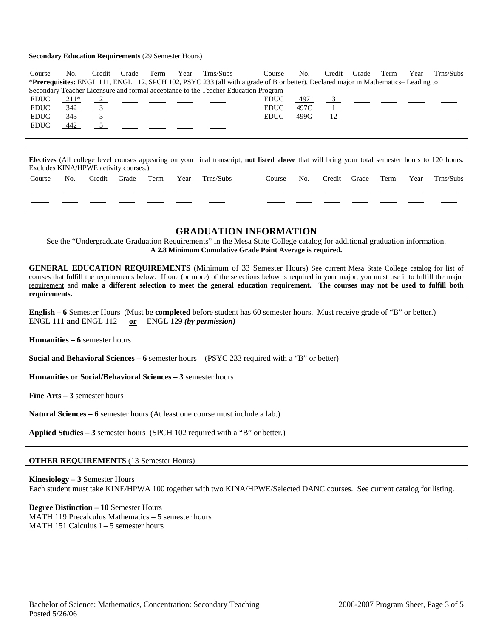#### **Secondary Education Requirements** (29 Semester Hours)

| Course                                                                                                                                                                                            | No.    | Credit        | Grade                                                                                                    | Term | Year | Trns/Subs<br><b>*Prerequisites:</b> ENGL 111, ENGL 112, SPCH 102, PSYC 233 (all with a grade of B or better), Declared major in Mathematics–Leading to | Course      | No.  | Credit | Grade | Term                                                                                                                                                                                                                          | Year | Trns/Subs |
|---------------------------------------------------------------------------------------------------------------------------------------------------------------------------------------------------|--------|---------------|----------------------------------------------------------------------------------------------------------|------|------|--------------------------------------------------------------------------------------------------------------------------------------------------------|-------------|------|--------|-------|-------------------------------------------------------------------------------------------------------------------------------------------------------------------------------------------------------------------------------|------|-----------|
| Secondary Teacher Licensure and formal acceptance to the Teacher Education Program                                                                                                                |        |               |                                                                                                          |      |      |                                                                                                                                                        |             |      |        |       |                                                                                                                                                                                                                               |      |           |
| <b>EDUC</b>                                                                                                                                                                                       | $211*$ |               | $\frac{2}{\sqrt{2}}$ $\frac{1}{\sqrt{2}}$ $\frac{1}{\sqrt{2}}$ $\frac{1}{\sqrt{2}}$ $\frac{1}{\sqrt{2}}$ |      |      |                                                                                                                                                        | <b>EDUC</b> | 497  |        |       | $\frac{3}{2}$ $\frac{1}{2}$ $\frac{1}{2}$ $\frac{1}{2}$ $\frac{1}{2}$                                                                                                                                                         |      |           |
| <b>EDUC</b>                                                                                                                                                                                       | 342    |               | $\frac{3}{2}$ $\frac{1}{2}$ $\frac{1}{2}$ $\frac{1}{2}$ $\frac{1}{2}$                                    |      |      |                                                                                                                                                        | <b>EDUC</b> | 497C |        |       | $1$ and $1$ and $1$ and $1$ and $1$ and $1$ and $1$ and $1$ and $1$ and $1$ and $1$ and $1$ and $1$ and $1$ and $1$ and $1$ and $1$ and $1$ and $1$ and $1$ and $1$ and $1$ and $1$ and $1$ and $1$ and $1$ and $1$ and $1$ a |      |           |
| <b>EDUC</b>                                                                                                                                                                                       | 343    | $\frac{3}{2}$ |                                                                                                          |      |      |                                                                                                                                                        | EDUC        | 499G |        |       | 12                                                                                                                                                                                                                            |      |           |
| <b>EDUC</b>                                                                                                                                                                                       | 442    |               |                                                                                                          |      |      |                                                                                                                                                        |             |      |        |       |                                                                                                                                                                                                                               |      |           |
|                                                                                                                                                                                                   |        |               |                                                                                                          |      |      |                                                                                                                                                        |             |      |        |       |                                                                                                                                                                                                                               |      |           |
|                                                                                                                                                                                                   |        |               |                                                                                                          |      |      |                                                                                                                                                        |             |      |        |       |                                                                                                                                                                                                                               |      |           |
| <b>Electives</b> (All college level courses appearing on your final transcript, not listed above that will bring your total semester hours to 120 hours.<br>Excludes KINA/HPWE activity courses.) |        |               |                                                                                                          |      |      |                                                                                                                                                        |             |      |        |       |                                                                                                                                                                                                                               |      |           |

| $r_{\rm{max}}$ |     |        |       |      |      |           |        |     |              |      |      |           |
|----------------|-----|--------|-------|------|------|-----------|--------|-----|--------------|------|------|-----------|
| <b>Course</b>  | No. | Credit | Grade | Term | Year | Trns/Subs | Course | No. | Credit Grade | Term | Year | Trns/Subs |
|                |     |        |       |      |      |           |        |     |              |      |      |           |
|                |     |        |       |      |      |           |        |     |              |      |      |           |

## **GRADUATION INFORMATION**

See the "Undergraduate Graduation Requirements" in the Mesa State College catalog for additional graduation information. **A 2.8 Minimum Cumulative Grade Point Average is required.**

**GENERAL EDUCATION REQUIREMENTS** (Minimum of 33 Semester Hours) See current Mesa State College catalog for list of courses that fulfill the requirements below. If one (or more) of the selections below is required in your major, you must use it to fulfill the major requirement and **make a different selection to meet the general education requirement. The courses may not be used to fulfill both requirements.**

**English – 6** Semester Hours (Must be **completed** before student has 60 semester hours. Must receive grade of "B" or better.) ENGL 111 **and** ENGL 112 **or** ENGL 129 *(by permission)*

**Humanities – 6** semester hours

**Social and Behavioral Sciences – 6** semester hours (PSYC 233 required with a "B" or better)

**Humanities or Social/Behavioral Sciences – 3** semester hours

**Fine Arts – 3** semester hours

**Natural Sciences – 6** semester hours (At least one course must include a lab.)

**Applied Studies – 3** semester hours (SPCH 102 required with a "B" or better.)

### **OTHER REQUIREMENTS** (13 Semester Hours)

**Kinesiology – 3** Semester Hours Each student must take KINE/HPWA 100 together with two KINA/HPWE/Selected DANC courses. See current catalog for listing.

**Degree Distinction – 10** Semester Hours MATH 119 Precalculus Mathematics – 5 semester hours MATH 151 Calculus I – 5 semester hours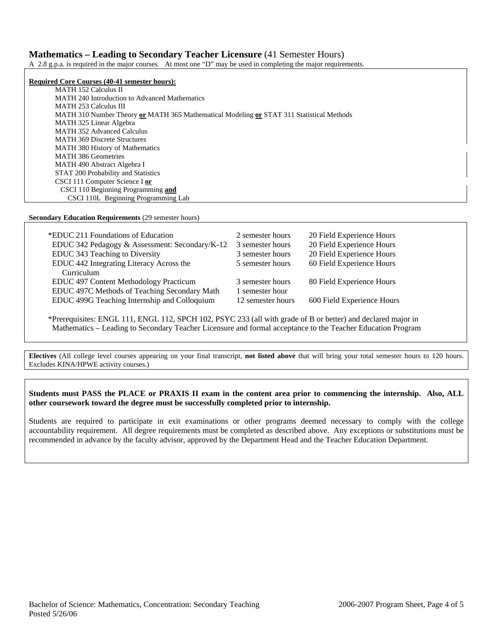### **Mathematics – Leading to Secondary Teacher Licensure** (41 Semester Hours)

A 2.8 g.p.a. is required in the major courses. At most one "D" may be used in completing the major requirements.

**Required Core Courses (40-41 semester hours):** MATH 152 Calculus II MATH 240 Introduction to Advanced Mathematics MATH 253 Calculus III MATH 310 Number Theory **or** MATH 365 Mathematical Modeling **or** STAT 311 Statistical Methods MATH 325 Linear Algebra MATH 352 Advanced Calculus MATH 369 Discrete Structures MATH 380 History of Mathematics MATH 386 Geometries MATH 490 Abstract Algebra I STAT 200 Probability and Statistics CSCI 111 Computer Science I **or**  CSCI 110 Beginning Programming **and** CSCI 110L Beginning Programming Lab

**Secondary Education Requirements** (29 semester hours)

| *EDUC 211 Foundations of Education             | 2 semester hours  | 20 Field Experience Hours  |
|------------------------------------------------|-------------------|----------------------------|
| EDUC 342 Pedagogy & Assessment: Secondary/K-12 | 3 semester hours  | 20 Field Experience Hours  |
| EDUC 343 Teaching to Diversity                 | 3 semester hours  | 20 Field Experience Hours  |
| EDUC 442 Integrating Literacy Across the       | 5 semester hours  | 60 Field Experience Hours  |
| Curriculum                                     |                   |                            |
| EDUC 497 Content Methodology Practicum         | 3 semester hours  | 80 Field Experience Hours  |
| EDUC 497C Methods of Teaching Secondary Math   | 1 semester hour   |                            |
| EDUC 499G Teaching Internship and Colloquium   | 12 semester hours | 600 Field Experience Hours |

\*Prerequisites: ENGL 111, ENGL 112, SPCH 102, PSYC 233 (all with grade of B or better) and declared major in Mathematics – Leading to Secondary Teacher Licensure and formal acceptance to the Teacher Education Program

**Electives** (All college level courses appearing on your final transcript, **not listed above** that will bring your total semester hours to 120 hours. Excludes KINA/HPWE activity courses.)

**Students must PASS the PLACE or PRAXIS II exam in the content area prior to commencing the internship. Also, ALL other coursework toward the degree must be successfully completed prior to internship.** 

Students are required to participate in exit examinations or other programs deemed necessary to comply with the college accountability requirement. All degree requirements must be completed as described above. Any exceptions or substitutions must be recommended in advance by the faculty advisor, approved by the Department Head and the Teacher Education Department.